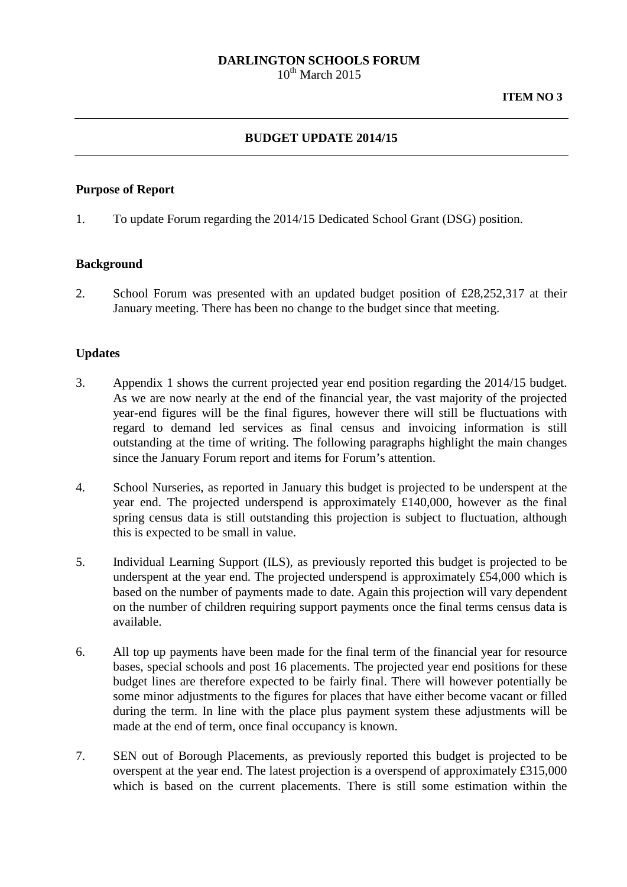# **DARLINGTON SCHOOLS FORUM**

 $10^{th}$  March 2015

## **BUDGET UPDATE 2014/15**

#### **Purpose of Report**

1. To update Forum regarding the 2014/15 Dedicated School Grant (DSG) position.

#### **Background**

2. School Forum was presented with an updated budget position of £28,252,317 at their January meeting. There has been no change to the budget since that meeting.

### **Updates**

- 3. Appendix 1 shows the current projected year end position regarding the 2014/15 budget. As we are now nearly at the end of the financial year, the vast majority of the projected year-end figures will be the final figures, however there will still be fluctuations with regard to demand led services as final census and invoicing information is still outstanding at the time of writing. The following paragraphs highlight the main changes since the January Forum report and items for Forum's attention.
- 4. School Nurseries, as reported in January this budget is projected to be underspent at the year end. The projected underspend is approximately £140,000, however as the final spring census data is still outstanding this projection is subject to fluctuation, although this is expected to be small in value.
- 5. Individual Learning Support (ILS), as previously reported this budget is projected to be underspent at the year end. The projected underspend is approximately £54,000 which is based on the number of payments made to date. Again this projection will vary dependent on the number of children requiring support payments once the final terms census data is available.
- 6. All top up payments have been made for the final term of the financial year for resource bases, special schools and post 16 placements. The projected year end positions for these budget lines are therefore expected to be fairly final. There will however potentially be some minor adjustments to the figures for places that have either become vacant or filled during the term. In line with the place plus payment system these adjustments will be made at the end of term, once final occupancy is known.
- 7. SEN out of Borough Placements, as previously reported this budget is projected to be overspent at the year end. The latest projection is a overspend of approximately £315,000 which is based on the current placements. There is still some estimation within the